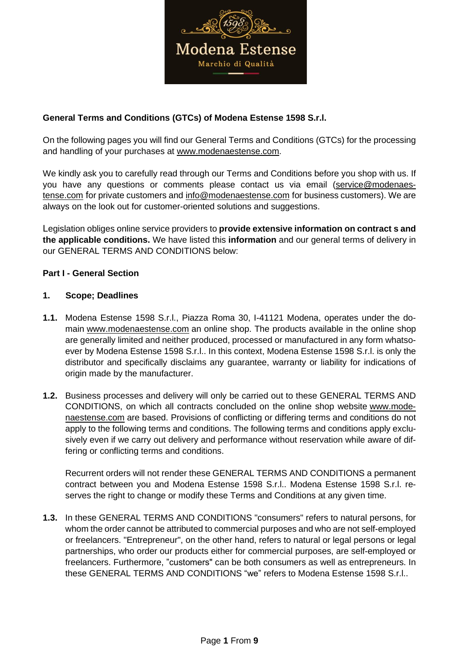

# **General Terms and Conditions (GTCs) of Modena Estense 1598 S.r.l.**

On the following pages you will find our General Terms and Conditions (GTCs) for the processing and handling of your purchases at [www.modenaestense.](http://www.modenaestense/)com.

We kindly ask you to carefully read through our Terms and Conditions before you shop with us. If you have any questions or comments please contact us via email [\(service@modenaes](mailto:service@modenaestense.com)[tense.com](mailto:service@modenaestense.com) for private customers and [info@modenaestense.com](mailto:info@modenaestense.com) for business customers). We are always on the look out for customer-oriented solutions and suggestions.

Legislation obliges online service providers to **provide extensive information on contract s and the applicable conditions.** We have listed this **information** and our general terms of delivery in our GENERAL TERMS AND CONDITIONS below:

# **Part I - General Section**

## **1. Scope; Deadlines**

- **1.1.** Modena Estense 1598 S.r.l., Piazza Roma 30, I-41121 Modena, operates under the domain [www.modenaestense.com](http://www.modenaestense.com/) an online shop. The products available in the online shop are generally limited and neither produced, processed or manufactured in any form whatsoever by Modena Estense 1598 S.r.l.. In this context, Modena Estense 1598 S.r.l. is only the distributor and specifically disclaims any guarantee, warranty or liability for indications of origin made by the manufacturer.
- **1.2.** Business processes and delivery will only be carried out to these GENERAL TERMS AND CONDITIONS, on which all contracts concluded on the online shop website [www.mode](http://www.modenaestense/)[naestense.com](http://www.modenaestense/) are based. Provisions of conflicting or differing terms and conditions do not apply to the following terms and conditions. The following terms and conditions apply exclusively even if we carry out delivery and performance without reservation while aware of differing or conflicting terms and conditions.

Recurrent orders will not render these GENERAL TERMS AND CONDITIONS a permanent contract between you and Modena Estense 1598 S.r.l.. Modena Estense 1598 S.r.l. reserves the right to change or modify these Terms and Conditions at any given time.

**1.3.** In these GENERAL TERMS AND CONDITIONS "consumers" refers to natural persons, for whom the order cannot be attributed to commercial purposes and who are not self-employed or freelancers. "Entrepreneur", on the other hand, refers to natural or legal persons or legal partnerships, who order our products either for commercial purposes, are self-employed or freelancers. Furthermore, "customers" can be both consumers as well as entrepreneurs. In these GENERAL TERMS AND CONDITIONS "we" refers to Modena Estense 1598 S.r.l..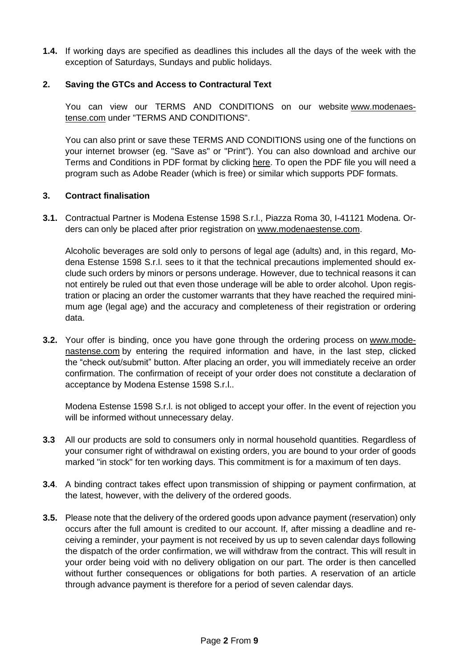**1.4.** If working days are specified as deadlines this includes all the days of the week with the exception of Saturdays, Sundays and public holidays.

# **2. Saving the GTCs and Access to Contractural Text**

You can view our TERMS AND CONDITIONS on our website [www.modenaes](http://www.modenaestense.com/)[tense.com](http://www.modenaestense.com/) under "TERMS AND CONDITIONS".

You can also print or save these TERMS AND CONDITIONS using one of the functions on your internet browser (eg. "Save as" or "Print"). You can also download and archive our Terms and Conditions in PDF format by clicking here. To open the PDF file you will need a program such as Adobe Reader (which is free) or similar which supports PDF formats.

## **3. Contract finalisation**

**3.1.** Contractual Partner is Modena Estense 1598 S.r.l., Piazza Roma 30, I-41121 Modena. Orders can only be placed after prior registration on [www.modenaestense.com.](http://www.modenaestense.com/)

Alcoholic beverages are sold only to persons of legal age (adults) and, in this regard, Modena Estense 1598 S.r.l. sees to it that the technical precautions implemented should exclude such orders by minors or persons underage. However, due to technical reasons it can not entirely be ruled out that even those underage will be able to order alcohol. Upon registration or placing an order the customer warrants that they have reached the required minimum age (legal age) and the accuracy and completeness of their registration or ordering data.

**3.2.** Your offer is binding, once you have gone through the ordering process on www.modenastense.com by entering the required information and have, in the last step, clicked the "check out/submit" button. After placing an order, you will immediately receive an order confirmation. The confirmation of receipt of your order does not constitute a declaration of acceptance by Modena Estense 1598 S.r.l..

Modena Estense 1598 S.r.l. is not obliged to accept your offer. In the event of rejection you will be informed without unnecessary delay.

- **3.3** All our products are sold to consumers only in normal household quantities. Regardless of your consumer right of withdrawal on existing orders, you are bound to your order of goods marked "in stock" for ten working days. This commitment is for a maximum of ten days.
- **3.4**. A binding contract takes effect upon transmission of shipping or payment confirmation, at the latest, however, with the delivery of the ordered goods.
- **3.5.** Please note that the delivery of the ordered goods upon advance payment (reservation) only occurs after the full amount is credited to our account. If, after missing a deadline and receiving a reminder, your payment is not received by us up to seven calendar days following the dispatch of the order confirmation, we will withdraw from the contract. This will result in your order being void with no delivery obligation on our part. The order is then cancelled without further consequences or obligations for both parties. A reservation of an article through advance payment is therefore for a period of seven calendar days.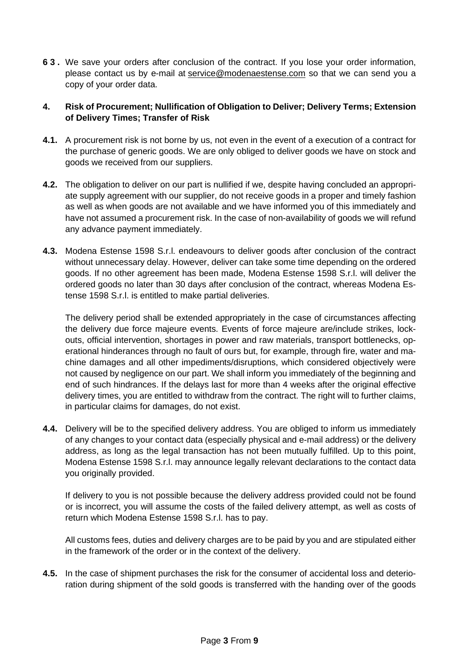**6 3 .** We save your orders after conclusion of the contract. If you lose your order information, please contact us by e-mail at [service@modenaestense.com](mailto:service@modenaestense.com) so that we can send you a copy of your order data.

# **4. Risk of Procurement; Nullification of Obligation to Deliver; Delivery Terms; Extension of Delivery Times; Transfer of Risk**

- **4.1.** A procurement risk is not borne by us, not even in the event of a execution of a contract for the purchase of generic goods. We are only obliged to deliver goods we have on stock and goods we received from our suppliers.
- **4.2.** The obligation to deliver on our part is nullified if we, despite having concluded an appropriate supply agreement with our supplier, do not receive goods in a proper and timely fashion as well as when goods are not available and we have informed you of this immediately and have not assumed a procurement risk. In the case of non-availability of goods we will refund any advance payment immediately.
- **4.3.** Modena Estense 1598 S.r.l. endeavours to deliver goods after conclusion of the contract without unnecessary delay. However, deliver can take some time depending on the ordered goods. If no other agreement has been made, Modena Estense 1598 S.r.l. will deliver the ordered goods no later than 30 days after conclusion of the contract, whereas Modena Estense 1598 S.r.l. is entitled to make partial deliveries.

The delivery period shall be extended appropriately in the case of circumstances affecting the delivery due force majeure events. Events of force majeure are/include strikes, lockouts, official intervention, shortages in power and raw materials, transport bottlenecks, operational hinderances through no fault of ours but, for example, through fire, water and machine damages and all other impediments/disruptions, which considered objectively were not caused by negligence on our part. We shall inform you immediately of the beginning and end of such hindrances. If the delays last for more than 4 weeks after the original effective delivery times, you are entitled to withdraw from the contract. The right will to further claims, in particular claims for damages, do not exist.

**4.4.** Delivery will be to the specified delivery address. You are obliged to inform us immediately of any changes to your contact data (especially physical and e-mail address) or the delivery address, as long as the legal transaction has not been mutually fulfilled. Up to this point, Modena Estense 1598 S.r.l. may announce legally relevant declarations to the contact data you originally provided.

If delivery to you is not possible because the delivery address provided could not be found or is incorrect, you will assume the costs of the failed delivery attempt, as well as costs of return which Modena Estense 1598 S.r.l. has to pay.

All customs fees, duties and delivery charges are to be paid by you and are stipulated either in the framework of the order or in the context of the delivery.

**4.5.** In the case of shipment purchases the risk for the consumer of accidental loss and deterioration during shipment of the sold goods is transferred with the handing over of the goods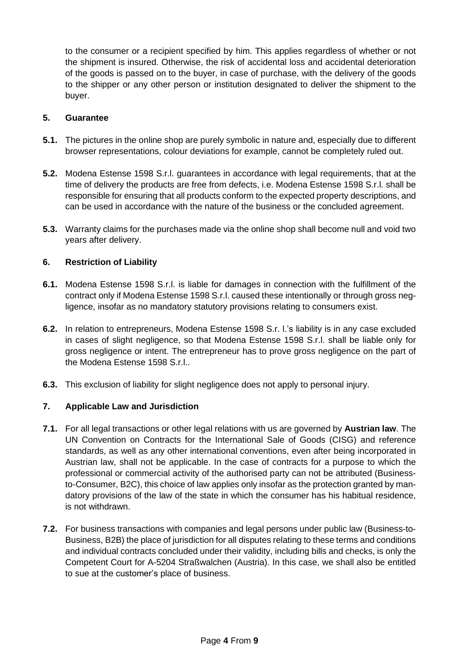to the consumer or a recipient specified by him. This applies regardless of whether or not the shipment is insured. Otherwise, the risk of accidental loss and accidental deterioration of the goods is passed on to the buyer, in case of purchase, with the delivery of the goods to the shipper or any other person or institution designated to deliver the shipment to the buyer.

# **5. Guarantee**

- **5.1.** The pictures in the online shop are purely symbolic in nature and, especially due to different browser representations, colour deviations for example, cannot be completely ruled out.
- **5.2.** Modena Estense 1598 S.r.l. guarantees in accordance with legal requirements, that at the time of delivery the products are free from defects, i.e. Modena Estense 1598 S.r.l. shall be responsible for ensuring that all products conform to the expected property descriptions, and can be used in accordance with the nature of the business or the concluded agreement.
- **5.3.** Warranty claims for the purchases made via the online shop shall become null and void two years after delivery.

# **6. Restriction of Liability**

- **6.1.** Modena Estense 1598 S.r.l. is liable for damages in connection with the fulfillment of the contract only if Modena Estense 1598 S.r.l. caused these intentionally or through gross negligence, insofar as no mandatory statutory provisions relating to consumers exist.
- **6.2.** In relation to entrepreneurs, Modena Estense 1598 S.r. l.'s liability is in any case excluded in cases of slight negligence, so that Modena Estense 1598 S.r.l. shall be liable only for gross negligence or intent. The entrepreneur has to prove gross negligence on the part of the Modena Estense 1598 S.r.l..
- **6.3.** This exclusion of liability for slight negligence does not apply to personal injury.

## **7. Applicable Law and Jurisdiction**

- **7.1.** For all legal transactions or other legal relations with us are governed by **Austrian law**. The UN Convention on Contracts for the International Sale of Goods (CISG) and reference standards, as well as any other international conventions, even after being incorporated in Austrian law, shall not be applicable. In the case of contracts for a purpose to which the professional or commercial activity of the authorised party can not be attributed (Businessto-Consumer, B2C), this choice of law applies only insofar as the protection granted by mandatory provisions of the law of the state in which the consumer has his habitual residence, is not withdrawn.
- **7.2.** For business transactions with companies and legal persons under public law (Business-to-Business, B2B) the place of jurisdiction for all disputes relating to these terms and conditions and individual contracts concluded under their validity, including bills and checks, is only the Competent Court for A-5204 Straßwalchen (Austria). In this case, we shall also be entitled to sue at the customer's place of business.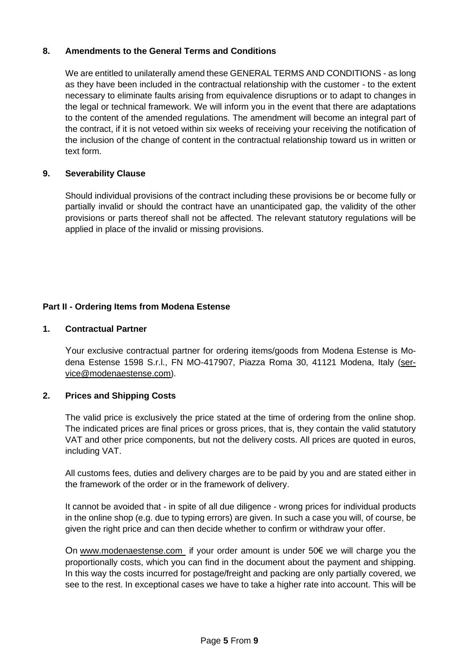# **8. Amendments to the General Terms and Conditions**

We are entitled to unilaterally amend these GENERAL TERMS AND CONDITIONS - as long as they have been included in the contractual relationship with the customer - to the extent necessary to eliminate faults arising from equivalence disruptions or to adapt to changes in the legal or technical framework. We will inform you in the event that there are adaptations to the content of the amended regulations. The amendment will become an integral part of the contract, if it is not vetoed within six weeks of receiving your receiving the notification of the inclusion of the change of content in the contractual relationship toward us in written or text form.

## **9. Severability Clause**

Should individual provisions of the contract including these provisions be or become fully or partially invalid or should the contract have an unanticipated gap, the validity of the other provisions or parts thereof shall not be affected. The relevant statutory regulations will be applied in place of the invalid or missing provisions.

## **Part II - Ordering Items from Modena Estense**

#### **1. Contractual Partner**

Your exclusive contractual partner for ordering items/goods from Modena Estense is Modena Estense 1598 S.r.l., FN MO-417907, Piazza Roma 30, 41121 Modena, Italy [\(ser](mailto:service@modenaestense.com)[vice@modenaestense.com\)](mailto:service@modenaestense.com).

## **2. Prices and Shipping Costs**

The valid price is exclusively the price stated at the time of ordering from the online shop. The indicated prices are final prices or gross prices, that is, they contain the valid statutory VAT and other price components, but not the delivery costs. All prices are quoted in euros, including VAT.

All customs fees, duties and delivery charges are to be paid by you and are stated either in the framework of the order or in the framework of delivery.

It cannot be avoided that - in spite of all due diligence - wrong prices for individual products in the online shop (e.g. due to typing errors) are given. In such a case you will, of course, be given the right price and can then decide whether to confirm or withdraw your offer.

On [www.modenaestense.com](http://www.modenaestense/) if your order amount is under  $50 $\epsilon$  we will charge you the$ proportionally costs, which you can find in the document about the payment and shipping. In this way the costs incurred for postage/freight and packing are only partially covered, we see to the rest. In exceptional cases we have to take a higher rate into account. This will be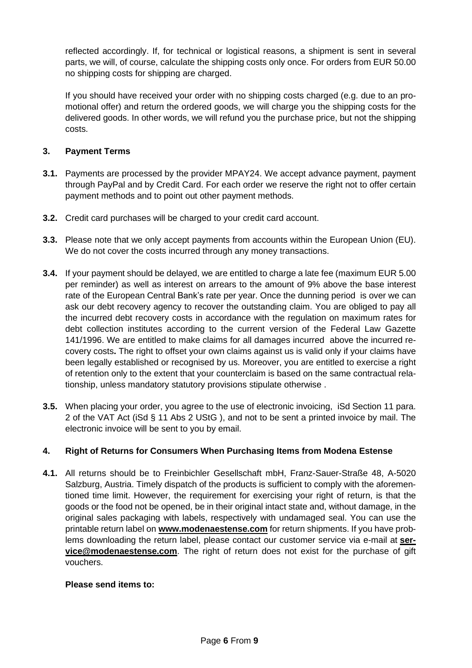reflected accordingly. If, for technical or logistical reasons, a shipment is sent in several parts, we will, of course, calculate the shipping costs only once. For orders from EUR 50.00 no shipping costs for shipping are charged.

If you should have received your order with no shipping costs charged (e.g. due to an promotional offer) and return the ordered goods, we will charge you the shipping costs for the delivered goods. In other words, we will refund you the purchase price, but not the shipping costs.

# **3. Payment Terms**

- **3.1.** Payments are processed by the provider MPAY24. We accept advance payment, payment through PayPal and by Credit Card. For each order we reserve the right not to offer certain payment methods and to point out other payment methods.
- **3.2.** Credit card purchases will be charged to your credit card account.
- **3.3.** Please note that we only accept payments from accounts within the European Union (EU). We do not cover the costs incurred through any money transactions.
- **3.4.** If your payment should be delayed, we are entitled to charge a late fee (maximum EUR 5.00 per reminder) as well as interest on arrears to the amount of 9% above the base interest rate of the European Central Bank's rate per year. Once the dunning period is over we can ask our debt recovery agency to recover the outstanding claim. You are obliged to pay all the incurred debt recovery costs in accordance with the regulation on maximum rates for debt collection institutes according to the current version of the Federal Law Gazette 141/1996. We are entitled to make claims for all damages incurred above the incurred recovery costs**.** The right to offset your own claims against us is valid only if your claims have been legally established or recognised by us. Moreover, you are entitled to exercise a right of retention only to the extent that your counterclaim is based on the same contractual relationship, unless mandatory statutory provisions stipulate otherwise .
- **3.5.** When placing your order, you agree to the use of electronic invoicing, iSd Section 11 para. 2 of the VAT Act (iSd § 11 Abs 2 UStG ), and not to be sent a printed invoice by mail. The electronic invoice will be sent to you by email.

# **4. Right of Returns for Consumers When Purchasing Items from Modena Estense**

**4.1.** All returns should be to Freinbichler Gesellschaft mbH, Franz-Sauer-Straße 48, A-5020 Salzburg, Austria. Timely dispatch of the products is sufficient to comply with the aforementioned time limit. However, the requirement for exercising your right of return, is that the goods or the food not be opened, be in their original intact state and, without damage, in the original sales packaging with labels, respectively with undamaged seal. You can use the printable return label on **[www.modenaestense.com](http://www.modenaestense/)** for return shipments. If you have problems downloading the return label, please contact our customer service via e-mail at **[ser](mailto:service@modenaestense.com)[vice@modenaestense.com](mailto:service@modenaestense.com)**. The right of return does not exist for the purchase of gift vouchers.

## **Please send items to:**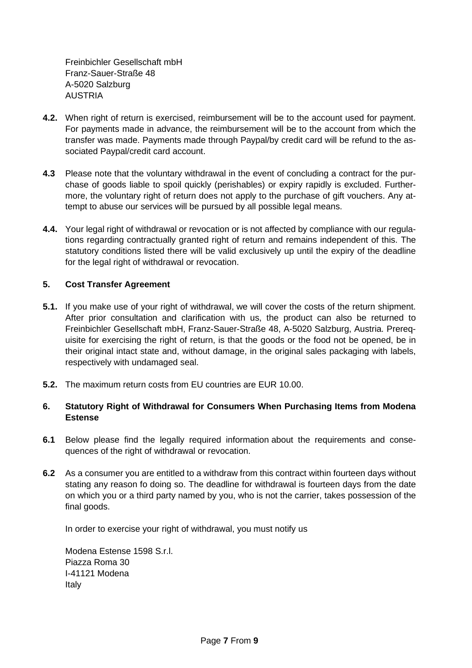Freinbichler Gesellschaft mbH Franz-Sauer-Straße 48 A-5020 Salzburg AUSTRIA

- **4.2.** When right of return is exercised, reimbursement will be to the account used for payment. For payments made in advance, the reimbursement will be to the account from which the transfer was made. Payments made through Paypal/by credit card will be refund to the associated Paypal/credit card account.
- **4.3** Please note that the voluntary withdrawal in the event of concluding a contract for the purchase of goods liable to spoil quickly (perishables) or expiry rapidly is excluded. Furthermore, the voluntary right of return does not apply to the purchase of gift vouchers. Any attempt to abuse our services will be pursued by all possible legal means.
- **4.4.** Your legal right of withdrawal or revocation or is not affected by compliance with our regulations regarding contractually granted right of return and remains independent of this. The statutory conditions listed there will be valid exclusively up until the expiry of the deadline for the legal right of withdrawal or revocation.

# **5. Cost Transfer Agreement**

- **5.1.** If you make use of your right of withdrawal, we will cover the costs of the return shipment. After prior consultation and clarification with us, the product can also be returned to Freinbichler Gesellschaft mbH, Franz-Sauer-Straße 48, A-5020 Salzburg, Austria. Prerequisite for exercising the right of return, is that the goods or the food not be opened, be in their original intact state and, without damage, in the original sales packaging with labels, respectively with undamaged seal.
- **5.2.** The maximum return costs from EU countries are EUR 10.00.

# **6. Statutory Right of Withdrawal for Consumers When Purchasing Items from Modena Estense**

- **6.1** Below please find the legally required information about the requirements and consequences of the right of withdrawal or revocation.
- **6.2** As a consumer you are entitled to a withdraw from this contract within fourteen days without stating any reason fo doing so. The deadline for withdrawal is fourteen days from the date on which you or a third party named by you, who is not the carrier, takes possession of the final goods.

In order to exercise your right of withdrawal, you must notify us

Modena Estense 1598 S.r.l. Piazza Roma 30 I-41121 Modena Italy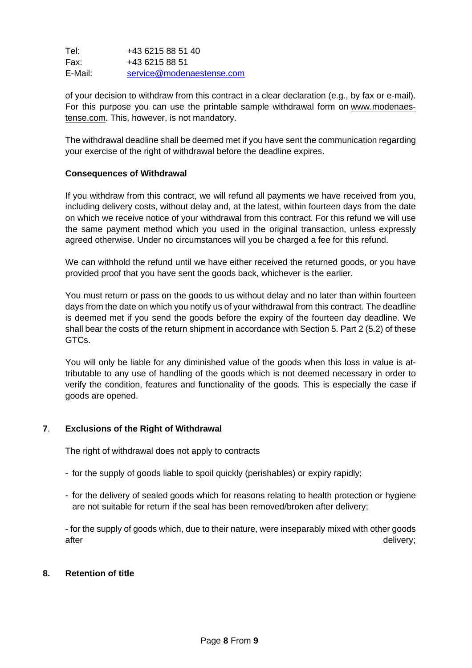Tel: +43 6215 88 51 40 Fax: +43 6215 88 51 E-Mail: [service@modenaestense.com](mailto:service@modenaestense.com)

of your decision to withdraw from this contract in a clear declaration (e.g., by fax or e-mail). For this purpose you can use the printable sample withdrawal form on [www.modenaes](http://www.modenaestense.com/)[tense.com.](http://www.modenaestense.com/) This, however, is not mandatory.

The withdrawal deadline shall be deemed met if you have sent the communication regarding your exercise of the right of withdrawal before the deadline expires.

## **Consequences of Withdrawal**

If you withdraw from this contract, we will refund all payments we have received from you, including delivery costs, without delay and, at the latest, within fourteen days from the date on which we receive notice of your withdrawal from this contract. For this refund we will use the same payment method which you used in the original transaction, unless expressly agreed otherwise. Under no circumstances will you be charged a fee for this refund.

We can withhold the refund until we have either received the returned goods, or you have provided proof that you have sent the goods back, whichever is the earlier.

You must return or pass on the goods to us without delay and no later than within fourteen days from the date on which you notify us of your withdrawal from this contract. The deadline is deemed met if you send the goods before the expiry of the fourteen day deadline. We shall bear the costs of the return shipment in accordance with Section 5. Part 2 (5.2) of these GTCs.

You will only be liable for any diminished value of the goods when this loss in value is attributable to any use of handling of the goods which is not deemed necessary in order to verify the condition, features and functionality of the goods. This is especially the case if goods are opened.

## **7**. **Exclusions of the Right of Withdrawal**

The right of withdrawal does not apply to contracts

- for the supply of goods liable to spoil quickly (perishables) or expiry rapidly;
- for the delivery of sealed goods which for reasons relating to health protection or hygiene are not suitable for return if the seal has been removed/broken after delivery;

- for the supply of goods which, due to their nature, were inseparably mixed with other goods after delivery; and the control of the control of the control of the control of the control of the control of the control of the control of the control of the control of the control of the control of the control of the con

#### **8. Retention of title**